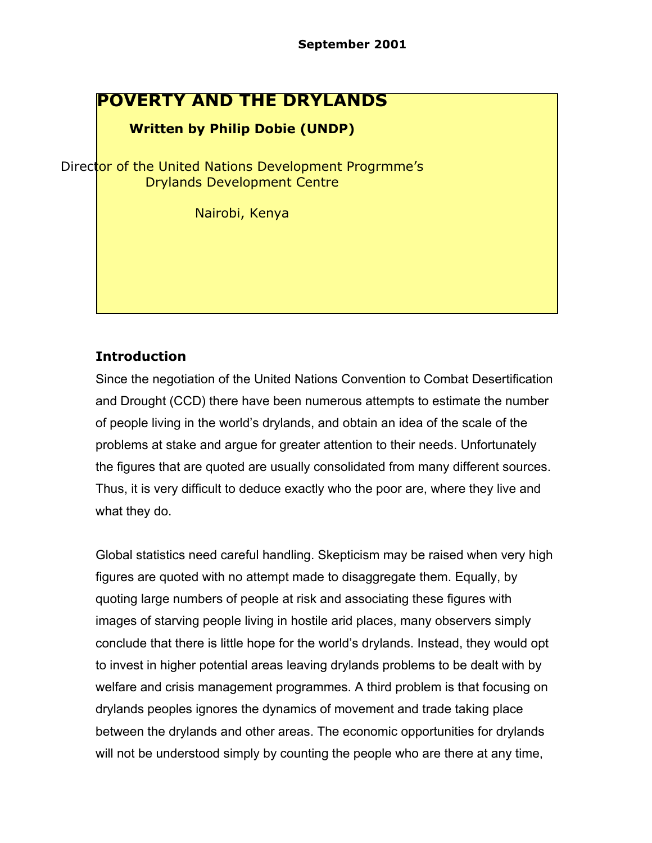# **POVERTY AND THE DRYLANDS**

#### **Written by Philip Dobie (UNDP)**

Director of the United Nations Development Progrmme's Drylands Development Centre

Nairobi, Kenya

# **Introduction**

Since the negotiation of the United Nations Convention to Combat Desertification and Drought (CCD) there have been numerous attempts to estimate the number of people living in the world's drylands, and obtain an idea of the scale of the problems at stake and argue for greater attention to their needs. Unfortunately the figures that are quoted are usually consolidated from many different sources. Thus, it is very difficult to deduce exactly who the poor are, where they live and what they do.

Global statistics need careful handling. Skepticism may be raised when very high figures are quoted with no attempt made to disaggregate them. Equally, by quoting large numbers of people at risk and associating these figures with images of starving people living in hostile arid places, many observers simply conclude that there is little hope for the world's drylands. Instead, they would opt to invest in higher potential areas leaving drylands problems to be dealt with by welfare and crisis management programmes. A third problem is that focusing on drylands peoples ignores the dynamics of movement and trade taking place between the drylands and other areas. The economic opportunities for drylands will not be understood simply by counting the people who are there at any time,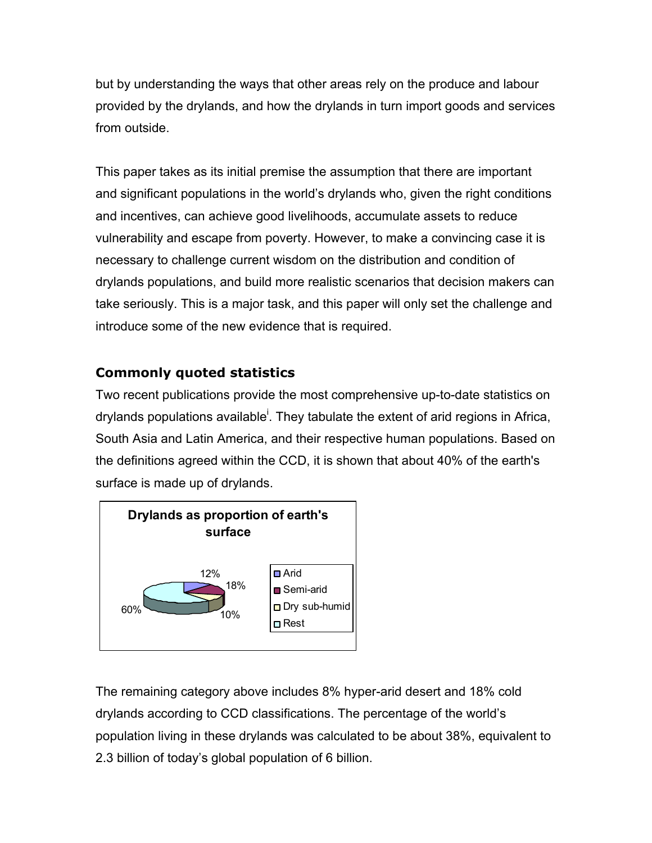but by understanding the ways that other areas rely on the produce and labour provided by the drylands, and how the drylands in turn import goods and services from outside.

This paper takes as its initial premise the assumption that there are important and significant populations in the world's drylands who, given the right conditions and incentives, can achieve good livelihoods, accumulate assets to reduce vulnerability and escape from poverty. However, to make a convincing case it is necessary to challenge current wisdom on the distribution and condition of drylands populations, and build more realistic scenarios that decision makers can take seriously. This is a major task, and this paper will only set the challenge and introduce some of the new evidence that is required.

# **Commonly quoted statistics**

Two recent publications provide the most comprehensive up-to-date statistics on drylands populations available<sup>i</sup>. They tabulate the extent of arid regions in Africa, South Asia and Latin America, and their respective human populations. Based on the definitions agreed within the CCD, it is shown that about 40% of the earth's surface is made up of drylands.



The remaining category above includes 8% hyper-arid desert and 18% cold drylands according to CCD classifications. The percentage of the world's population living in these drylands was calculated to be about 38%, equivalent to 2.3 billion of today's global population of 6 billion.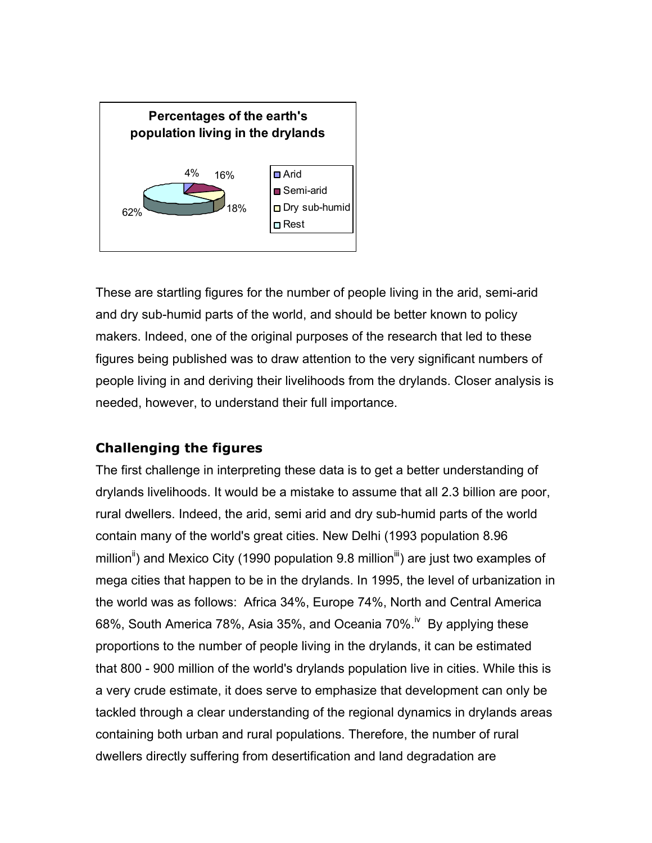

These are startling figures for the number of people living in the arid, semi-arid and dry sub-humid parts of the world, and should be better known to policy makers. Indeed, one of the original purposes of the research that led to these figures being published was to draw attention to the very significant numbers of people living in and deriving their livelihoods from the drylands. Closer analysis is needed, however, to understand their full importance.

### **Challenging the figures**

The first challenge in interpreting these data is to get a better understanding of drylands livelihoods. It would be a mistake to assume that all 2.3 billion are poor, rural dwellers. Indeed, the arid, semi arid and dry sub-humid parts of the world contain many of the world's great cities. New Delhi (1993 population 8.96 million<sup>ii</sup>) and Mexico City (1990 population 9.8 million<sup>iii</sup>) are just two examples of mega cities that happen to be in the drylands. In 1995, the level of urbanization in the world was as follows: Africa 34%, Europe 74%, North and Central America 68%, South America 78%, Asia 35%, and Oceania 70%.<sup>iv</sup> By applying these proportions to the number of people living in the drylands, it can be estimated that 800 - 900 million of the world's drylands population live in cities. While this is a very crude estimate, it does serve to emphasize that development can only be tackled through a clear understanding of the regional dynamics in drylands areas containing both urban and rural populations. Therefore, the number of rural dwellers directly suffering from desertification and land degradation are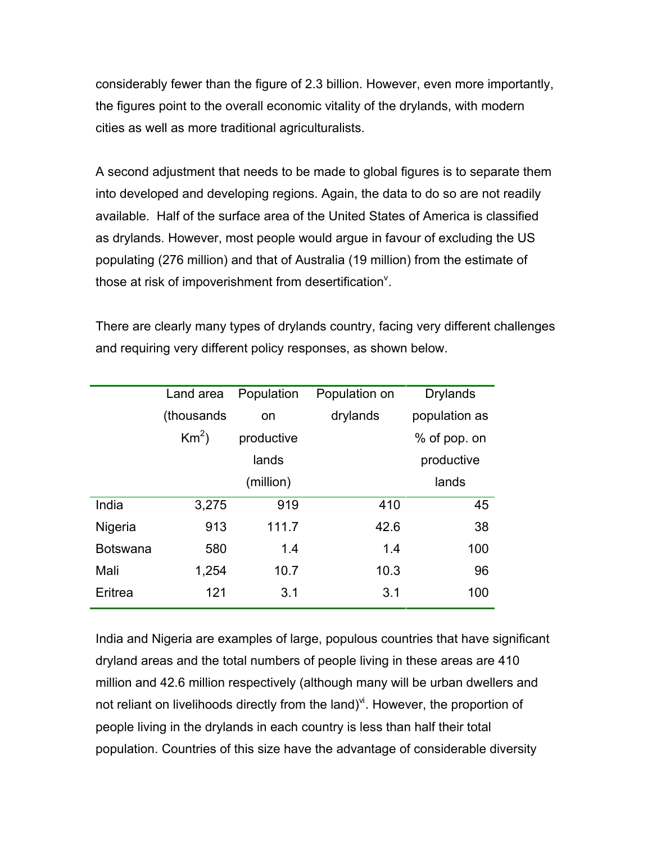considerably fewer than the figure of 2.3 billion. However, even more importantly, the figures point to the overall economic vitality of the drylands, with modern cities as well as more traditional agriculturalists.

A second adjustment that needs to be made to global figures is to separate them into developed and developing regions. Again, the data to do so are not readily available. Half of the surface area of the United States of America is classified as drylands. However, most people would argue in favour of excluding the US populating (276 million) and that of Australia (19 million) from the estimate of those at risk of impoverishment from desertification $\theta$ .

There are clearly many types of drylands country, facing very different challenges and requiring very different policy responses, as shown below.

|                 | Land area   | Population | Population on | <b>Drylands</b> |
|-----------------|-------------|------------|---------------|-----------------|
|                 | (thousands) | on         | drylands      | population as   |
|                 | $Km^2$ )    | productive |               | % of pop. on    |
|                 |             | lands      |               | productive      |
|                 |             | (million)  |               | lands           |
| India           | 3,275       | 919        | 410           | 45              |
| Nigeria         | 913         | 111.7      | 42.6          | 38              |
| <b>Botswana</b> | 580         | 1.4        | 1.4           | 100             |
| Mali            | 1,254       | 10.7       | 10.3          | 96              |
| Eritrea         | 121         | 3.1        | 3.1           | 100             |

India and Nigeria are examples of large, populous countries that have significant dryland areas and the total numbers of people living in these areas are 410 million and 42.6 million respectively (although many will be urban dwellers and not reliant on livelihoods directly from the land) $\dot{y}$ . However, the proportion of people living in the drylands in each country is less than half their total population. Countries of this size have the advantage of considerable diversity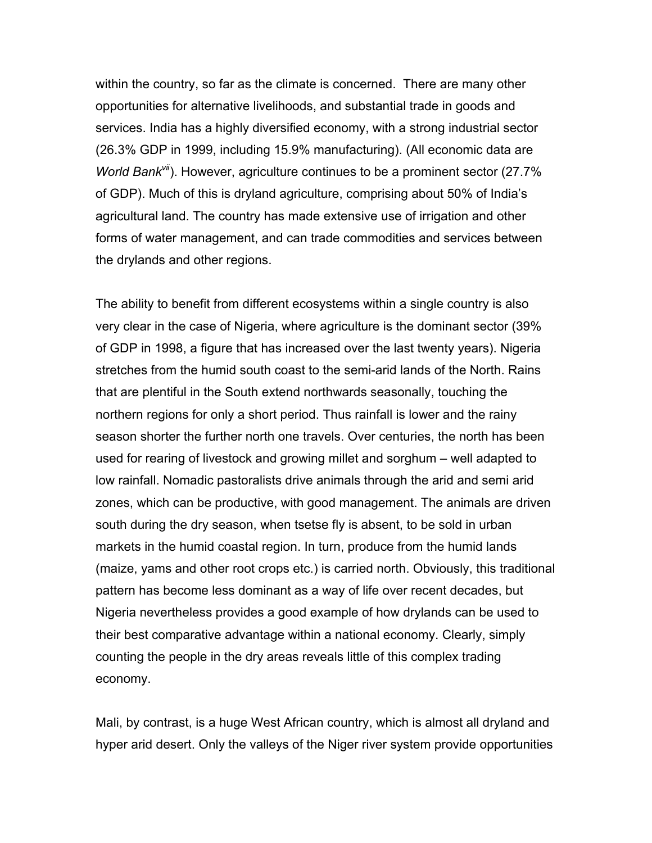within the country, so far as the climate is concerned. There are many other opportunities for alternative livelihoods, and substantial trade in goods and services. India has a highly diversified economy, with a strong industrial sector (26.3% GDP in 1999, including 15.9% manufacturing). (All economic data are *World Bank<sup>vii</sup>*). However, agriculture continues to be a prominent sector (27.7% of GDP). Much of this is dryland agriculture, comprising about 50% of India's agricultural land. The country has made extensive use of irrigation and other forms of water management, and can trade commodities and services between the drylands and other regions.

The ability to benefit from different ecosystems within a single country is also very clear in the case of Nigeria, where agriculture is the dominant sector (39% of GDP in 1998, a figure that has increased over the last twenty years). Nigeria stretches from the humid south coast to the semi-arid lands of the North. Rains that are plentiful in the South extend northwards seasonally, touching the northern regions for only a short period. Thus rainfall is lower and the rainy season shorter the further north one travels. Over centuries, the north has been used for rearing of livestock and growing millet and sorghum – well adapted to low rainfall. Nomadic pastoralists drive animals through the arid and semi arid zones, which can be productive, with good management. The animals are driven south during the dry season, when tsetse fly is absent, to be sold in urban markets in the humid coastal region. In turn, produce from the humid lands (maize, yams and other root crops etc.) is carried north. Obviously, this traditional pattern has become less dominant as a way of life over recent decades, but Nigeria nevertheless provides a good example of how drylands can be used to their best comparative advantage within a national economy. Clearly, simply counting the people in the dry areas reveals little of this complex trading economy.

Mali, by contrast, is a huge West African country, which is almost all dryland and hyper arid desert. Only the valleys of the Niger river system provide opportunities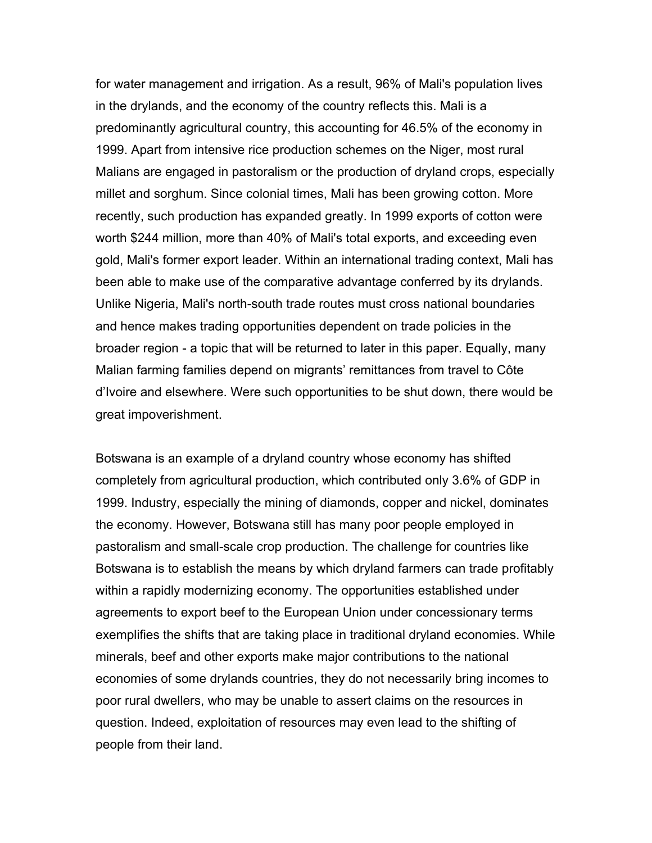for water management and irrigation. As a result, 96% of Mali's population lives in the drylands, and the economy of the country reflects this. Mali is a predominantly agricultural country, this accounting for 46.5% of the economy in 1999. Apart from intensive rice production schemes on the Niger, most rural Malians are engaged in pastoralism or the production of dryland crops, especially millet and sorghum. Since colonial times, Mali has been growing cotton. More recently, such production has expanded greatly. In 1999 exports of cotton were worth \$244 million, more than 40% of Mali's total exports, and exceeding even gold, Mali's former export leader. Within an international trading context, Mali has been able to make use of the comparative advantage conferred by its drylands. Unlike Nigeria, Mali's north-south trade routes must cross national boundaries and hence makes trading opportunities dependent on trade policies in the broader region - a topic that will be returned to later in this paper. Equally, many Malian farming families depend on migrants' remittances from travel to Côte d'Ivoire and elsewhere. Were such opportunities to be shut down, there would be great impoverishment.

Botswana is an example of a dryland country whose economy has shifted completely from agricultural production, which contributed only 3.6% of GDP in 1999. Industry, especially the mining of diamonds, copper and nickel, dominates the economy. However, Botswana still has many poor people employed in pastoralism and small-scale crop production. The challenge for countries like Botswana is to establish the means by which dryland farmers can trade profitably within a rapidly modernizing economy. The opportunities established under agreements to export beef to the European Union under concessionary terms exemplifies the shifts that are taking place in traditional dryland economies. While minerals, beef and other exports make major contributions to the national economies of some drylands countries, they do not necessarily bring incomes to poor rural dwellers, who may be unable to assert claims on the resources in question. Indeed, exploitation of resources may even lead to the shifting of people from their land.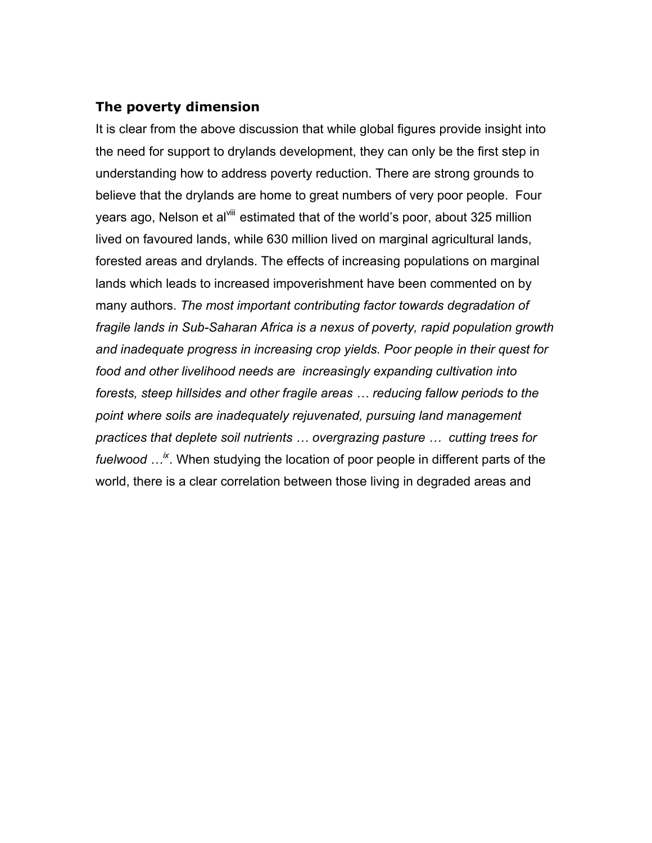#### **The poverty dimension**

It is clear from the above discussion that while global figures provide insight into the need for support to drylands development, they can only be the first step in understanding how to address poverty reduction. There are strong grounds to believe that the drylands are home to great numbers of very poor people. Four years ago, Nelson et al<sup>viii</sup> estimated that of the world's poor, about 325 million lived on favoured lands, while 630 million lived on marginal agricultural lands, forested areas and drylands. The effects of increasing populations on marginal lands which leads to increased impoverishment have been commented on by many authors. *The most important contributing factor towards degradation of fragile lands in Sub-Saharan Africa is a nexus of poverty, rapid population growth and inadequate progress in increasing crop yields. Poor people in their quest for food and other livelihood needs are increasingly expanding cultivation into forests, steep hillsides and other fragile areas … reducing fallow periods to the point where soils are inadequately rejuvenated, pursuing land management practices that deplete soil nutrients … overgrazing pasture … cutting trees for fuelwood …ix*. When studying the location of poor people in different parts of the world, there is a clear correlation between those living in degraded areas and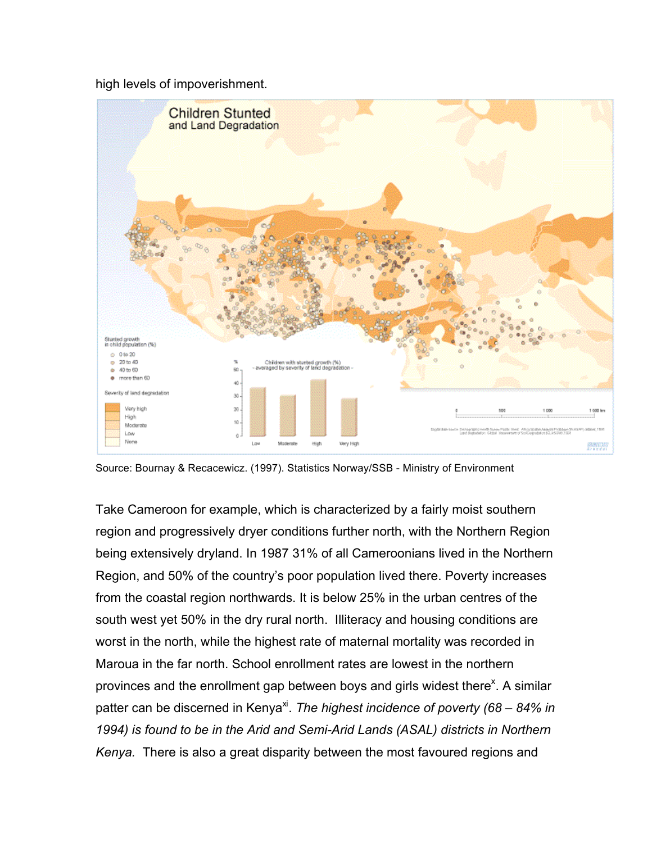high levels of impoverishment.



Source: Bournay & Recacewicz. (1997). Statistics Norway/SSB - Ministry of Environment

Take Cameroon for example, which is characterized by a fairly moist southern region and progressively dryer conditions further north, with the Northern Region being extensively dryland. In 1987 31% of all Cameroonians lived in the Northern Region, and 50% of the country's poor population lived there. Poverty increases from the coastal region northwards. It is below 25% in the urban centres of the south west yet 50% in the dry rural north. Illiteracy and housing conditions are worst in the north, while the highest rate of maternal mortality was recorded in Maroua in the far north. School enrollment rates are lowest in the northern provinces and the enrollment gap between boys and girls widest there<sup>x</sup>. A similar patter can be discerned in Kenya<sup>xi</sup>. *The highest incidence of poverty (68 – 84% in 1994) is found to be in the Arid and Semi-Arid Lands (ASAL) districts in Northern Kenya.* There is also a great disparity between the most favoured regions and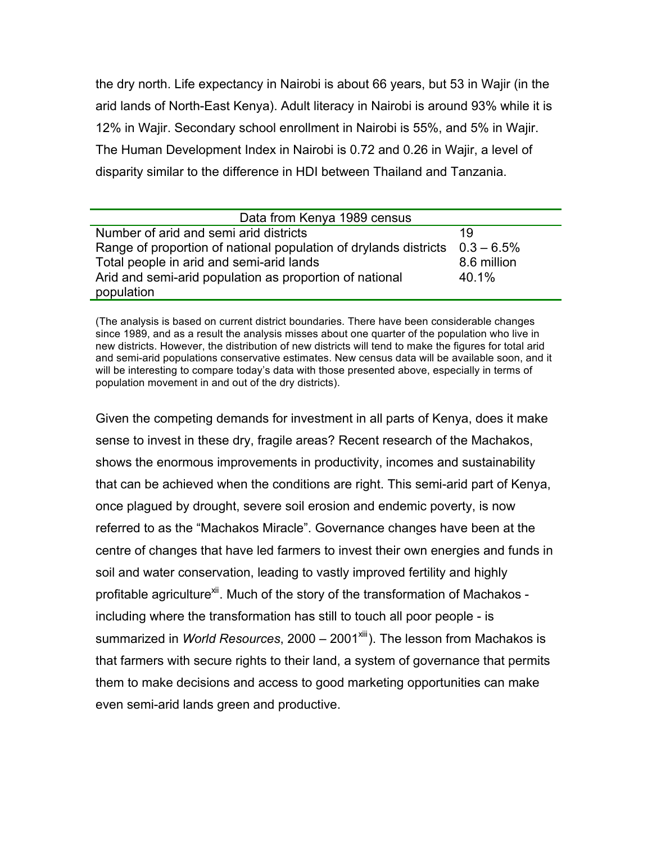the dry north. Life expectancy in Nairobi is about 66 years, but 53 in Wajir (in the arid lands of North-East Kenya). Adult literacy in Nairobi is around 93% while it is 12% in Wajir. Secondary school enrollment in Nairobi is 55%, and 5% in Wajir. The Human Development Index in Nairobi is 0.72 and 0.26 in Wajir, a level of disparity similar to the difference in HDI between Thailand and Tanzania.

| Data from Kenya 1989 census                                                    |             |  |  |  |
|--------------------------------------------------------------------------------|-------------|--|--|--|
| Number of arid and semi arid districts                                         | 19          |  |  |  |
| Range of proportion of national population of drylands districts $0.3 - 6.5\%$ |             |  |  |  |
| Total people in arid and semi-arid lands                                       | 8.6 million |  |  |  |
| Arid and semi-arid population as proportion of national                        | 40.1%       |  |  |  |
| population                                                                     |             |  |  |  |

(The analysis is based on current district boundaries. There have been considerable changes since 1989, and as a result the analysis misses about one quarter of the population who live in new districts. However, the distribution of new districts will tend to make the figures for total arid and semi-arid populations conservative estimates. New census data will be available soon, and it will be interesting to compare today's data with those presented above, especially in terms of population movement in and out of the dry districts).

Given the competing demands for investment in all parts of Kenya, does it make sense to invest in these dry, fragile areas? Recent research of the Machakos, shows the enormous improvements in productivity, incomes and sustainability that can be achieved when the conditions are right. This semi-arid part of Kenya, once plagued by drought, severe soil erosion and endemic poverty, is now referred to as the "Machakos Miracle". Governance changes have been at the centre of changes that have led farmers to invest their own energies and funds in soil and water conservation, leading to vastly improved fertility and highly profitable agriculture<sup>xii</sup>. Much of the story of the transformation of Machakos including where the transformation has still to touch all poor people - is summarized in *World Resources*, 2000 – 2001<sup>xiii</sup>). The lesson from Machakos is that farmers with secure rights to their land, a system of governance that permits them to make decisions and access to good marketing opportunities can make even semi-arid lands green and productive.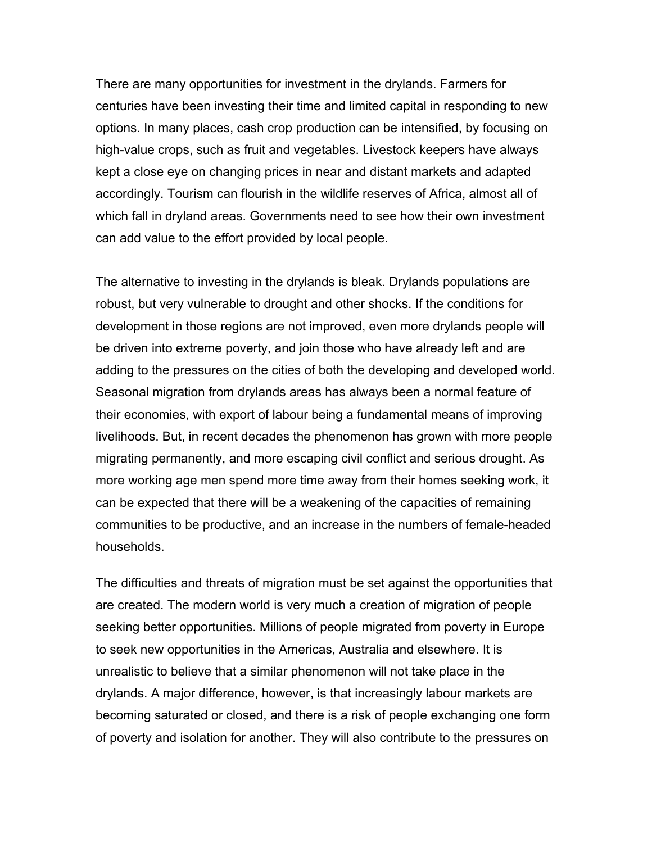There are many opportunities for investment in the drylands. Farmers for centuries have been investing their time and limited capital in responding to new options. In many places, cash crop production can be intensified, by focusing on high-value crops, such as fruit and vegetables. Livestock keepers have always kept a close eye on changing prices in near and distant markets and adapted accordingly. Tourism can flourish in the wildlife reserves of Africa, almost all of which fall in dryland areas. Governments need to see how their own investment can add value to the effort provided by local people.

The alternative to investing in the drylands is bleak. Drylands populations are robust, but very vulnerable to drought and other shocks. If the conditions for development in those regions are not improved, even more drylands people will be driven into extreme poverty, and join those who have already left and are adding to the pressures on the cities of both the developing and developed world. Seasonal migration from drylands areas has always been a normal feature of their economies, with export of labour being a fundamental means of improving livelihoods. But, in recent decades the phenomenon has grown with more people migrating permanently, and more escaping civil conflict and serious drought. As more working age men spend more time away from their homes seeking work, it can be expected that there will be a weakening of the capacities of remaining communities to be productive, and an increase in the numbers of female-headed households.

The difficulties and threats of migration must be set against the opportunities that are created. The modern world is very much a creation of migration of people seeking better opportunities. Millions of people migrated from poverty in Europe to seek new opportunities in the Americas, Australia and elsewhere. It is unrealistic to believe that a similar phenomenon will not take place in the drylands. A major difference, however, is that increasingly labour markets are becoming saturated or closed, and there is a risk of people exchanging one form of poverty and isolation for another. They will also contribute to the pressures on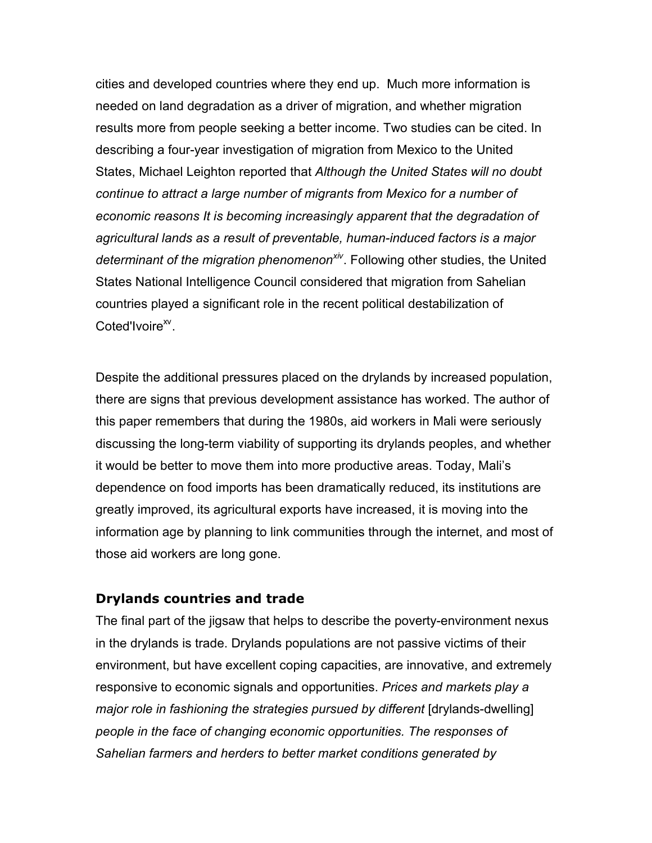cities and developed countries where they end up. Much more information is needed on land degradation as a driver of migration, and whether migration results more from people seeking a better income. Two studies can be cited. In describing a four-year investigation of migration from Mexico to the United States, Michael Leighton reported that *Although the United States will no doubt continue to attract a large number of migrants from Mexico for a number of economic reasons It is becoming increasingly apparent that the degradation of agricultural lands as a result of preventable, human-induced factors is a major determinant of the migration phenomenonxiv*. Following other studies, the United States National Intelligence Council considered that migration from Sahelian countries played a significant role in the recent political destabilization of Coted'Ivoire<sup>xv</sup>.

Despite the additional pressures placed on the drylands by increased population, there are signs that previous development assistance has worked. The author of this paper remembers that during the 1980s, aid workers in Mali were seriously discussing the long-term viability of supporting its drylands peoples, and whether it would be better to move them into more productive areas. Today, Mali's dependence on food imports has been dramatically reduced, its institutions are greatly improved, its agricultural exports have increased, it is moving into the information age by planning to link communities through the internet, and most of those aid workers are long gone.

#### **Drylands countries and trade**

The final part of the jigsaw that helps to describe the poverty-environment nexus in the drylands is trade. Drylands populations are not passive victims of their environment, but have excellent coping capacities, are innovative, and extremely responsive to economic signals and opportunities. *Prices and markets play a major role in fashioning the strategies pursued by different* [drylands-dwelling] *people in the face of changing economic opportunities. The responses of Sahelian farmers and herders to better market conditions generated by*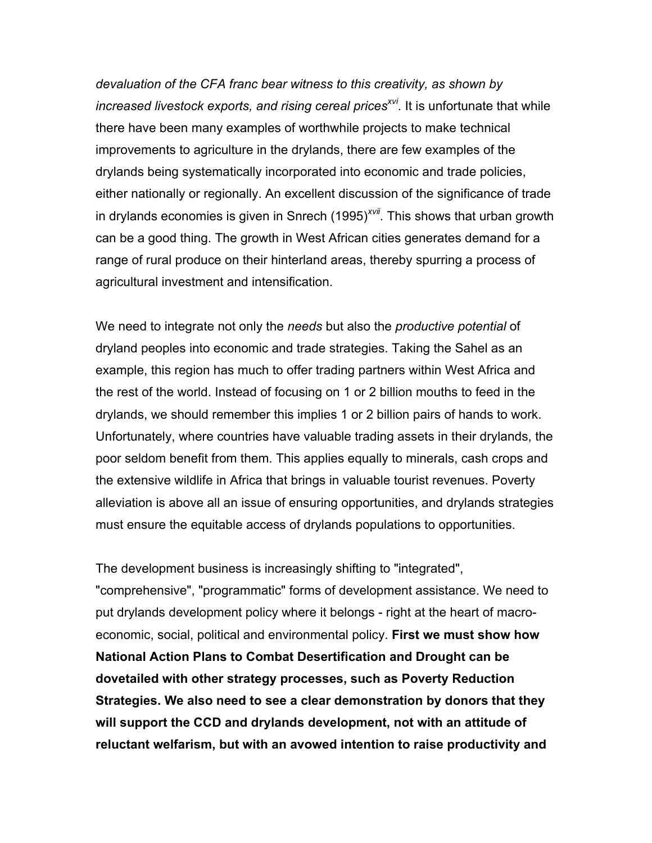*devaluation of the CFA franc bear witness to this creativity, as shown by increased livestock exports, and rising cereal prices<sup>xvi</sup>. It is unfortunate that while* there have been many examples of worthwhile projects to make technical improvements to agriculture in the drylands, there are few examples of the drylands being systematically incorporated into economic and trade policies, either nationally or regionally. An excellent discussion of the significance of trade in drylands economies is given in Snrech (1995)*xvii*. This shows that urban growth can be a good thing. The growth in West African cities generates demand for a range of rural produce on their hinterland areas, thereby spurring a process of agricultural investment and intensification.

We need to integrate not only the *needs* but also the *productive potential* of dryland peoples into economic and trade strategies. Taking the Sahel as an example, this region has much to offer trading partners within West Africa and the rest of the world. Instead of focusing on 1 or 2 billion mouths to feed in the drylands, we should remember this implies 1 or 2 billion pairs of hands to work. Unfortunately, where countries have valuable trading assets in their drylands, the poor seldom benefit from them. This applies equally to minerals, cash crops and the extensive wildlife in Africa that brings in valuable tourist revenues. Poverty alleviation is above all an issue of ensuring opportunities, and drylands strategies must ensure the equitable access of drylands populations to opportunities.

The development business is increasingly shifting to "integrated", "comprehensive", "programmatic" forms of development assistance. We need to put drylands development policy where it belongs - right at the heart of macroeconomic, social, political and environmental policy. **First we must show how National Action Plans to Combat Desertification and Drought can be dovetailed with other strategy processes, such as Poverty Reduction Strategies. We also need to see a clear demonstration by donors that they will support the CCD and drylands development, not with an attitude of reluctant welfarism, but with an avowed intention to raise productivity and**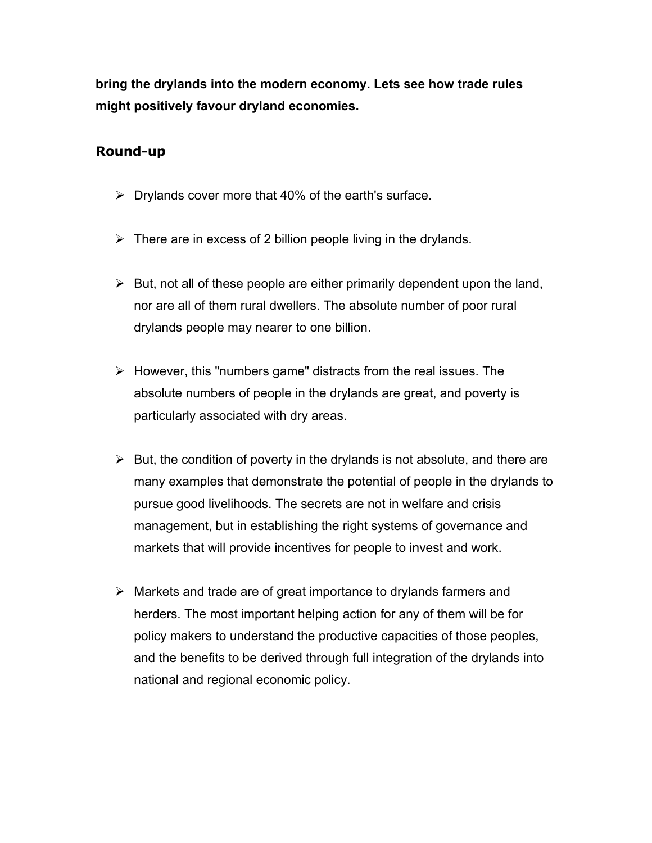**bring the drylands into the modern economy. Lets see how trade rules might positively favour dryland economies.**

# **Round-up**

- $\triangleright$  Drylands cover more that 40% of the earth's surface.
- $\triangleright$  There are in excess of 2 billion people living in the drylands.
- $\triangleright$  But, not all of these people are either primarily dependent upon the land, nor are all of them rural dwellers. The absolute number of poor rural drylands people may nearer to one billion.
- $\triangleright$  However, this "numbers game" distracts from the real issues. The absolute numbers of people in the drylands are great, and poverty is particularly associated with dry areas.
- $\triangleright$  But, the condition of poverty in the drylands is not absolute, and there are many examples that demonstrate the potential of people in the drylands to pursue good livelihoods. The secrets are not in welfare and crisis management, but in establishing the right systems of governance and markets that will provide incentives for people to invest and work.
- $\triangleright$  Markets and trade are of great importance to drylands farmers and herders. The most important helping action for any of them will be for policy makers to understand the productive capacities of those peoples, and the benefits to be derived through full integration of the drylands into national and regional economic policy.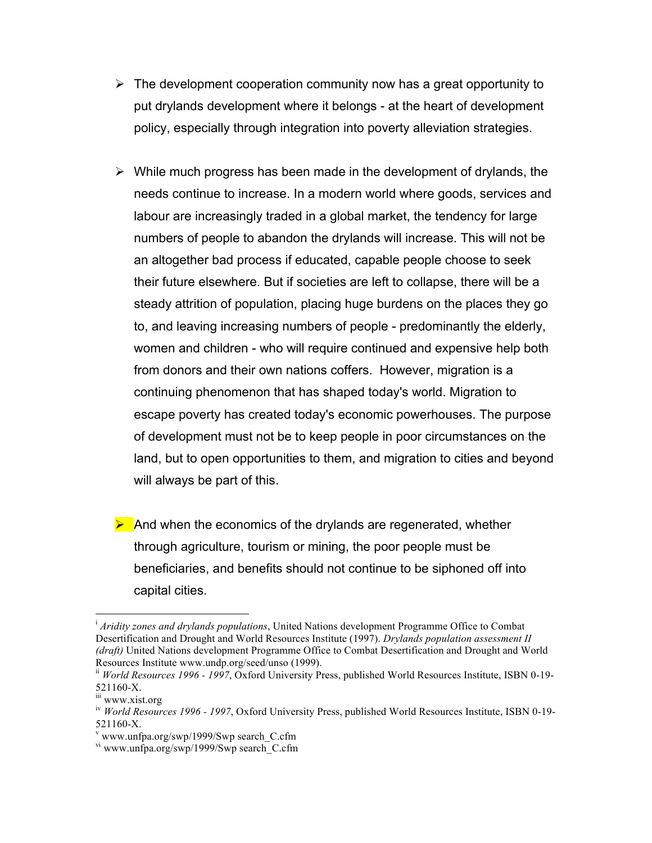- $\triangleright$  The development cooperation community now has a great opportunity to put drylands development where it belongs - at the heart of development policy, especially through integration into poverty alleviation strategies.
- $\triangleright$  While much progress has been made in the development of drylands, the needs continue to increase. In a modern world where goods, services and labour are increasingly traded in a global market, the tendency for large numbers of people to abandon the drylands will increase. This will not be an altogether bad process if educated, capable people choose to seek their future elsewhere. But if societies are left to collapse, there will be a steady attrition of population, placing huge burdens on the places they go to, and leaving increasing numbers of people - predominantly the elderly, women and children - who will require continued and expensive help both from donors and their own nations coffers. However, migration is a continuing phenomenon that has shaped today's world. Migration to escape poverty has created today's economic powerhouses. The purpose of development must not be to keep people in poor circumstances on the land, but to open opportunities to them, and migration to cities and beyond will always be part of this.
- $\triangleright$  And when the economics of the drylands are regenerated, whether through agriculture, tourism or mining, the poor people must be beneficiaries, and benefits should not continue to be siphoned off into capital cities.

i *Aridity zones and drylands populations*, United Nations development Programme Office to Combat Desertification and Drought and World Resources Institute (1997). *Drylands population assessment II (draft)* United Nations development Programme Office to Combat Desertification and Drought and World Resources Institute www.undp.org/seed/unso (1999).

ii *World Resources 1996 - 1997*, Oxford University Press, published World Resources Institute, ISBN 0-19-  $521160-X.$ <br>iii www.xist.org

iv *World Resources 1996 - 1997*, Oxford University Press, published World Resources Institute, ISBN 0-19- 521160-X.<br>v www.unfpa.org/swp/1999/Swp search C.cfm

<sup>&</sup>lt;sup>vi</sup> www.unfpa.org/swp/1999/Swp search<sup>-</sup>C.cfm